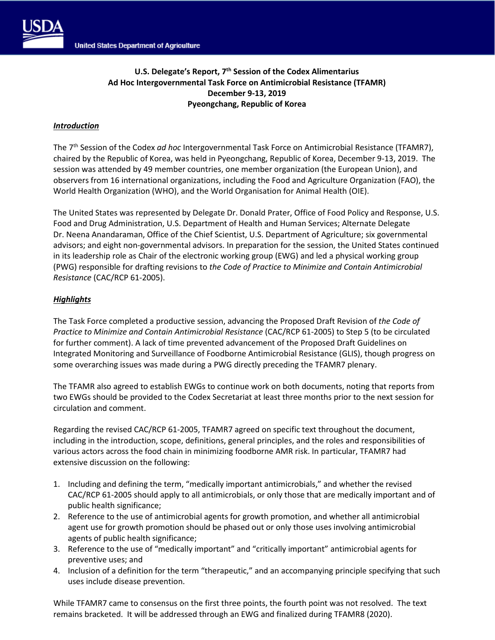

## *Introduction*

The 7th Session of the Codex *ad hoc* Intergovernmental Task Force on Antimicrobial Resistance (TFAMR7), chaired by the Republic of Korea, was held in Pyeongchang, Republic of Korea, December 9-13, 2019. The session was attended by 49 member countries, one member organization (the European Union), and observers from 16 international organizations, including the Food and Agriculture Organization (FAO), the World Health Organization (WHO), and the World Organisation for Animal Health (OIE).

The United States was represented by Delegate Dr. Donald Prater, Office of Food Policy and Response, U.S. Food and Drug Administration, U.S. Department of Health and Human Services; Alternate Delegate Dr. Neena Anandaraman, Office of the Chief Scientist, U.S. Department of Agriculture; six governmental advisors; and eight non-governmental advisors. In preparation for the session, the United States continued in its leadership role as Chair of the electronic working group (EWG) and led a physical working group (PWG) responsible for drafting revisions to *the Code of Practice to Minimize and Contain Antimicrobial Resistance* (CAC/RCP 61-2005).

# *Highlights*

The Task Force completed a productive session, advancing the Proposed Draft Revision of *the Code of Practice to Minimize and Contain Antimicrobial Resistance* (CAC/RCP 61-2005) to Step 5 (to be circulated for further comment). A lack of time prevented advancement of the Proposed Draft Guidelines on Integrated Monitoring and Surveillance of Foodborne Antimicrobial Resistance (GLIS), though progress on some overarching issues was made during a PWG directly preceding the TFAMR7 plenary.

The TFAMR also agreed to establish EWGs to continue work on both documents, noting that reports from two EWGs should be provided to the Codex Secretariat at least three months prior to the next session for circulation and comment.

Regarding the revised CAC/RCP 61-2005, TFAMR7 agreed on specific text throughout the document, including in the introduction, scope, definitions, general principles, and the roles and responsibilities of various actors across the food chain in minimizing foodborne AMR risk. In particular, TFAMR7 had extensive discussion on the following:

- 1. Including and defining the term, "medically important antimicrobials," and whether the revised CAC/RCP 61-2005 should apply to all antimicrobials, or only those that are medically important and of public health significance;
- 2. Reference to the use of antimicrobial agents for growth promotion, and whether all antimicrobial agent use for growth promotion should be phased out or only those uses involving antimicrobial agents of public health significance;
- 3. Reference to the use of "medically important" and "critically important" antimicrobial agents for preventive uses; and
- 4. Inclusion of a definition for the term "therapeutic," and an accompanying principle specifying that such uses include disease prevention.

While TFAMR7 came to consensus on the first three points, the fourth point was not resolved. The text remains bracketed. It will be addressed through an EWG and finalized during TFAMR8 (2020).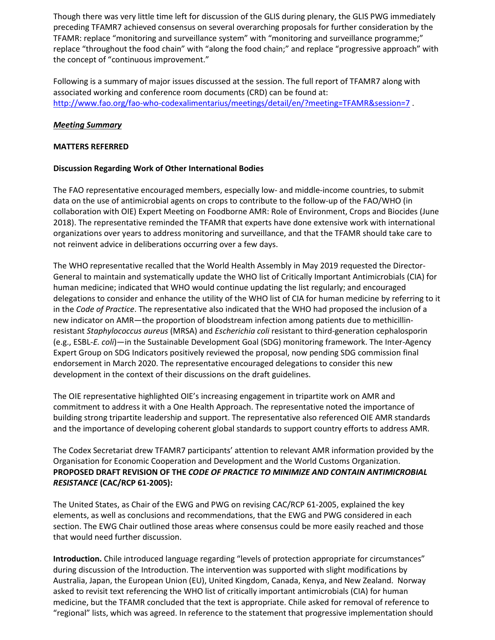Though there was very little time left for discussion of the GLIS during plenary, the GLIS PWG immediately preceding TFAMR7 achieved consensus on several overarching proposals for further consideration by the TFAMR: replace "monitoring and surveillance system" with "monitoring and surveillance programme;" replace "throughout the food chain" with "along the food chain;" and replace "progressive approach" with the concept of "continuous improvement."

Following is a summary of major issues discussed at the session. The full report of TFAMR7 along with associated working and conference room documents (CRD) can be found at: [http://www.fao.org/fao-who-codexalimentarius/meetings/detail/en/?meeting=TFAMR&session=7](http://www.fao.org/fao-who-codexalimentarius/meetings/detail/en/?meeting=TFAMR&session=6)

## *Meeting Summary*

#### **MATTERS REFERRED**

#### **Discussion Regarding Work of Other International Bodies**

The FAO representative encouraged members, especially low- and middle-income countries, to submit data on the use of antimicrobial agents on crops to contribute to the follow-up of the FAO/WHO (in collaboration with OIE) Expert Meeting on Foodborne AMR: Role of Environment, Crops and Biocides (June 2018). The representative reminded the TFAMR that experts have done extensive work with international organizations over years to address monitoring and surveillance, and that the TFAMR should take care to not reinvent advice in deliberations occurring over a few days.

The WHO representative recalled that the World Health Assembly in May 2019 requested the Director-General to maintain and systematically update the WHO list of Critically Important Antimicrobials (CIA) for human medicine; indicated that WHO would continue updating the list regularly; and encouraged delegations to consider and enhance the utility of the WHO list of CIA for human medicine by referring to it in the *Code of Practice*. The representative also indicated that the WHO had proposed the inclusion of a new indicator on AMR—the proportion of bloodstream infection among patients due to methicillinresistant *Staphylococcus aureus* (MRSA) and *Escherichia coli* resistant to third-generation cephalosporin (e.g., ESBL-*E. coli*)—in the Sustainable Development Goal (SDG) monitoring framework. The Inter-Agency Expert Group on SDG Indicators positively reviewed the proposal, now pending SDG commission final endorsement in March 2020. The representative encouraged delegations to consider this new development in the context of their discussions on the draft guidelines.

The OIE representative highlighted OIE's increasing engagement in tripartite work on AMR and commitment to address it with a One Health Approach. The representative noted the importance of building strong tripartite leadership and support. The representative also referenced OIE AMR standards and the importance of developing coherent global standards to support country efforts to address AMR.

The Codex Secretariat drew TFAMR7 participants' attention to relevant AMR information provided by the Organisation for Economic Cooperation and Development and the World Customs Organization. **PROPOSED DRAFT REVISION OF THE** *CODE OF PRACTICE TO MINIMIZE AND CONTAIN ANTIMICROBIAL RESISTANCE* **(CAC/RCP 61-2005):** 

The United States, as Chair of the EWG and PWG on revising CAC/RCP 61-2005, explained the key elements, as well as conclusions and recommendations, that the EWG and PWG considered in each section. The EWG Chair outlined those areas where consensus could be more easily reached and those that would need further discussion.

**Introduction.** Chile introduced language regarding "levels of protection appropriate for circumstances" during discussion of the Introduction. The intervention was supported with slight modifications by Australia, Japan, the European Union (EU), United Kingdom, Canada, Kenya, and New Zealand. Norway asked to revisit text referencing the WHO list of critically important antimicrobials (CIA) for human medicine, but the TFAMR concluded that the text is appropriate. Chile asked for removal of reference to "regional" lists, which was agreed. In reference to the statement that progressive implementation should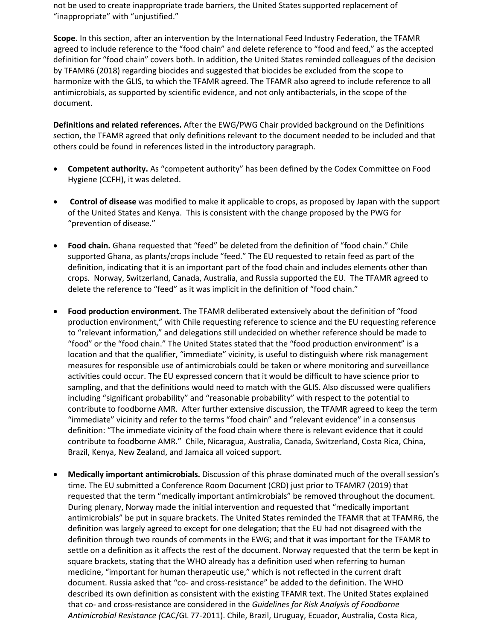not be used to create inappropriate trade barriers, the United States supported replacement of "inappropriate" with "unjustified."

**Scope.** In this section, after an intervention by the International Feed Industry Federation, the TFAMR agreed to include reference to the "food chain" and delete reference to "food and feed," as the accepted definition for "food chain" covers both. In addition, the United States reminded colleagues of the decision by TFAMR6 (2018) regarding biocides and suggested that biocides be excluded from the scope to harmonize with the GLIS, to which the TFAMR agreed. The TFAMR also agreed to include reference to all antimicrobials, as supported by scientific evidence, and not only antibacterials, in the scope of the document.

**Definitions and related references.** After the EWG/PWG Chair provided background on the Definitions section, the TFAMR agreed that only definitions relevant to the document needed to be included and that others could be found in references listed in the introductory paragraph.

- **Competent authority.** As "competent authority" has been defined by the Codex Committee on Food Hygiene (CCFH), it was deleted.
- **Control of disease** was modified to make it applicable to crops, as proposed by Japan with the support of the United States and Kenya. This is consistent with the change proposed by the PWG for "prevention of disease."
- **Food chain.** Ghana requested that "feed" be deleted from the definition of "food chain." Chile supported Ghana, as plants/crops include "feed." The EU requested to retain feed as part of the definition, indicating that it is an important part of the food chain and includes elements other than crops. Norway, Switzerland, Canada, Australia, and Russia supported the EU. The TFAMR agreed to delete the reference to "feed" as it was implicit in the definition of "food chain."
- **Food production environment.** The TFAMR deliberated extensively about the definition of "food production environment," with Chile requesting reference to science and the EU requesting reference to "relevant information," and delegations still undecided on whether reference should be made to "food" or the "food chain." The United States stated that the "food production environment" is a location and that the qualifier, "immediate" vicinity, is useful to distinguish where risk management measures for responsible use of antimicrobials could be taken or where monitoring and surveillance activities could occur. The EU expressed concern that it would be difficult to have science prior to sampling, and that the definitions would need to match with the GLIS. Also discussed were qualifiers including "significant probability" and "reasonable probability" with respect to the potential to contribute to foodborne AMR. After further extensive discussion, the TFAMR agreed to keep the term "immediate" vicinity and refer to the terms "food chain" and "relevant evidence" in a consensus definition: "The immediate vicinity of the food chain where there is relevant evidence that it could contribute to foodborne AMR." Chile, Nicaragua, Australia, Canada, Switzerland, Costa Rica, China, Brazil, Kenya, New Zealand, and Jamaica all voiced support.
- **Medically important antimicrobials.** Discussion of this phrase dominated much of the overall session's time. The EU submitted a Conference Room Document (CRD) just prior to TFAMR7 (2019) that requested that the term "medically important antimicrobials" be removed throughout the document. During plenary, Norway made the initial intervention and requested that "medically important antimicrobials" be put in square brackets. The United States reminded the TFAMR that at TFAMR6, the definition was largely agreed to except for one delegation; that the EU had not disagreed with the definition through two rounds of comments in the EWG; and that it was important for the TFAMR to settle on a definition as it affects the rest of the document. Norway requested that the term be kept in square brackets, stating that the WHO already has a definition used when referring to human medicine, "important for human therapeutic use," which is not reflected in the current draft document. Russia asked that "co- and cross-resistance" be added to the definition. The WHO described its own definition as consistent with the existing TFAMR text. The United States explained that co- and cross-resistance are considered in the *Guidelines for Risk Analysis of Foodborne Antimicrobial Resistance (*CAC/GL 77-2011). Chile, Brazil, Uruguay, Ecuador, Australia, Costa Rica,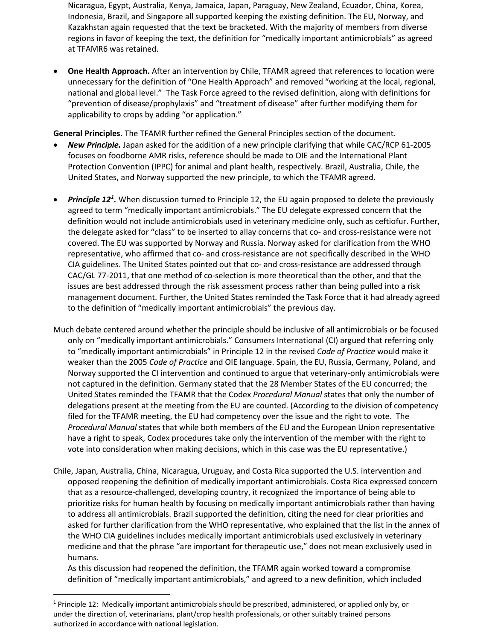Nicaragua, Egypt, Australia, Kenya, Jamaica, Japan, Paraguay, New Zealand, Ecuador, China, Korea, Indonesia, Brazil, and Singapore all supported keeping the existing definition. The EU, Norway, and Kazakhstan again requested that the text be bracketed. With the majority of members from diverse regions in favor of keeping the text, the definition for "medically important antimicrobials" as agreed at TFAMR6 was retained.

• **One Health Approach.** After an intervention by Chile, TFAMR agreed that references to location were unnecessary for the definition of "One Health Approach" and removed "working at the local, regional, national and global level." The Task Force agreed to the revised definition, along with definitions for "prevention of disease/prophylaxis" and "treatment of disease" after further modifying them for applicability to crops by adding "or application."

**General Principles.** The TFAMR further refined the General Principles section of the document.

- *New Principle.* Japan asked for the addition of a new principle clarifying that while CAC/RCP 61-2005 focuses on foodborne AMR risks, reference should be made to OIE and the International Plant Protection Convention (IPPC) for animal and plant health, respectively. Brazil, Australia, Chile, the United States, and Norway supported the new principle, to which the TFAMR agreed.
- *Principle [1](#page-3-0)2<sup>1</sup>*. When discussion turned to Principle 12, the EU again proposed to delete the previously agreed to term "medically important antimicrobials." The EU delegate expressed concern that the definition would not include antimicrobials used in veterinary medicine only, such as ceftiofur. Further, the delegate asked for "class" to be inserted to allay concerns that co- and cross-resistance were not covered. The EU was supported by Norway and Russia. Norway asked for clarification from the WHO representative, who affirmed that co- and cross-resistance are not specifically described in the WHO CIA guidelines. The United States pointed out that co- and cross-resistance are addressed through CAC/GL 77-2011, that one method of co-selection is more theoretical than the other, and that the issues are best addressed through the risk assessment process rather than being pulled into a risk management document. Further, the United States reminded the Task Force that it had already agreed to the definition of "medically important antimicrobials" the previous day.
- Much debate centered around whether the principle should be inclusive of all antimicrobials or be focused only on "medically important antimicrobials." Consumers International (CI) argued that referring only to "medically important antimicrobials" in Principle 12 in the revised *Code of Practice* would make it weaker than the 2005 *Code of Practice* and OIE language. Spain, the EU, Russia, Germany, Poland, and Norway supported the CI intervention and continued to argue that veterinary-only antimicrobials were not captured in the definition. Germany stated that the 28 Member States of the EU concurred; the United States reminded the TFAMR that the Codex *Procedural Manual* states that only the number of delegations present at the meeting from the EU are counted. (According to the division of competency filed for the TFAMR meeting, the EU had competency over the issue and the right to vote. The *Procedural Manual* states that while both members of the EU and the European Union representative have a right to speak, Codex procedures take only the intervention of the member with the right to vote into consideration when making decisions, which in this case was the EU representative.)
- Chile, Japan, Australia, China, Nicaragua, Uruguay, and Costa Rica supported the U.S. intervention and opposed reopening the definition of medically important antimicrobials. Costa Rica expressed concern that as a resource-challenged, developing country, it recognized the importance of being able to prioritize risks for human health by focusing on medically important antimicrobials rather than having to address all antimicrobials. Brazil supported the definition, citing the need for clear priorities and asked for further clarification from the WHO representative, who explained that the list in the annex of the WHO CIA guidelines includes medically important antimicrobials used exclusively in veterinary medicine and that the phrase "are important for therapeutic use," does not mean exclusively used in humans.

As this discussion had reopened the definition, the TFAMR again worked toward a compromise definition of "medically important antimicrobials," and agreed to a new definition, which included

<span id="page-3-0"></span> $1$  Principle 12: Medically important antimicrobials should be prescribed, administered, or applied only by, or under the direction of, veterinarians, plant/crop health professionals, or other suitably trained persons authorized in accordance with national legislation.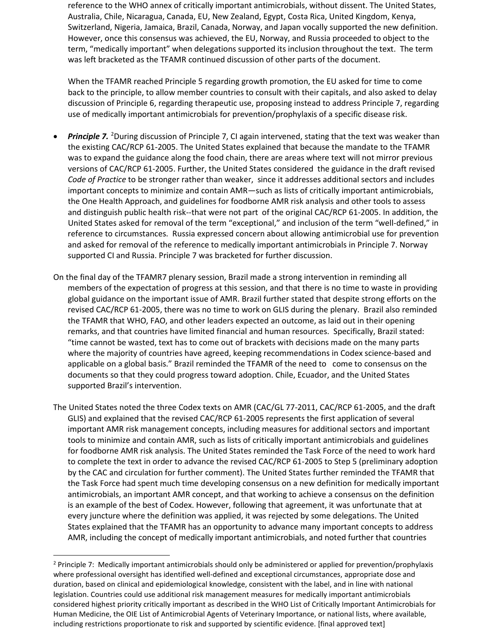reference to the WHO annex of critically important antimicrobials, without dissent. The United States, Australia, Chile, Nicaragua, Canada, EU, New Zealand, Egypt, Costa Rica, United Kingdom, Kenya, Switzerland, Nigeria, Jamaica, Brazil, Canada, Norway, and Japan vocally supported the new definition. However, once this consensus was achieved, the EU, Norway, and Russia proceeded to object to the term, "medically important" when delegations supported its inclusion throughout the text. The term was left bracketed as the TFAMR continued discussion of other parts of the document.

When the TFAMR reached Principle 5 regarding growth promotion, the EU asked for time to come back to the principle, to allow member countries to consult with their capitals, and also asked to delay discussion of Principle 6, regarding therapeutic use, proposing instead to address Principle 7, regarding use of medically important antimicrobials for prevention/prophylaxis of a specific disease risk.

- Principle 7. <sup>[2](#page-4-0)</sup>During discussion of Principle 7, CI again intervened, stating that the text was weaker than the existing CAC/RCP 61-2005. The United States explained that because the mandate to the TFAMR was to expand the guidance along the food chain, there are areas where text will not mirror previous versions of CAC/RCP 61-2005. Further, the United States considered the guidance in the draft revised *Code of Practice* to be stronger rather than weaker, since it addresses additional sectors and includes important concepts to minimize and contain AMR—such as lists of critically important antimicrobials, the One Health Approach, and guidelines for foodborne AMR risk analysis and other tools to assess and distinguish public health risk--that were not part of the original CAC/RCP 61-2005. In addition, the United States asked for removal of the term "exceptional," and inclusion of the term "well-defined," in reference to circumstances. Russia expressed concern about allowing antimicrobial use for prevention and asked for removal of the reference to medically important antimicrobials in Principle 7. Norway supported CI and Russia. Principle 7 was bracketed for further discussion.
- On the final day of the TFAMR7 plenary session, Brazil made a strong intervention in reminding all members of the expectation of progress at this session, and that there is no time to waste in providing global guidance on the important issue of AMR. Brazil further stated that despite strong efforts on the revised CAC/RCP 61-2005, there was no time to work on GLIS during the plenary. Brazil also reminded the TFAMR that WHO, FAO, and other leaders expected an outcome, as laid out in their opening remarks, and that countries have limited financial and human resources. Specifically, Brazil stated: "time cannot be wasted, text has to come out of brackets with decisions made on the many parts where the majority of countries have agreed, keeping recommendations in Codex science-based and applicable on a global basis." Brazil reminded the TFAMR of the need to come to consensus on the documents so that they could progress toward adoption. Chile, Ecuador, and the United States supported Brazil's intervention.
- The United States noted the three Codex texts on AMR (CAC/GL 77-2011, CAC/RCP 61-2005, and the draft GLIS) and explained that the revised CAC/RCP 61-2005 represents the first application of several important AMR risk management concepts, including measures for additional sectors and important tools to minimize and contain AMR, such as lists of critically important antimicrobials and guidelines for foodborne AMR risk analysis. The United States reminded the Task Force of the need to work hard to complete the text in order to advance the revised CAC/RCP 61-2005 to Step 5 (preliminary adoption by the CAC and circulation for further comment). The United States further reminded the TFAMR that the Task Force had spent much time developing consensus on a new definition for medically important antimicrobials, an important AMR concept, and that working to achieve a consensus on the definition is an example of the best of Codex. However, following that agreement, it was unfortunate that at every juncture where the definition was applied, it was rejected by some delegations. The United States explained that the TFAMR has an opportunity to advance many important concepts to address AMR, including the concept of medically important antimicrobials, and noted further that countries

<span id="page-4-0"></span><sup>&</sup>lt;sup>2</sup> Principle 7: Medically important antimicrobials should only be administered or applied for prevention/prophylaxis where professional oversight has identified well-defined and exceptional circumstances, appropriate dose and duration, based on clinical and epidemiological knowledge, consistent with the label, and in line with national legislation. Countries could use additional risk management measures for medically important antimicrobials considered highest priority critically important as described in the WHO List of Critically Important Antimicrobials for Human Medicine, the OIE List of Antimicrobial Agents of Veterinary Importance, or national lists, where available, including restrictions proportionate to risk and supported by scientific evidence. [final approved text]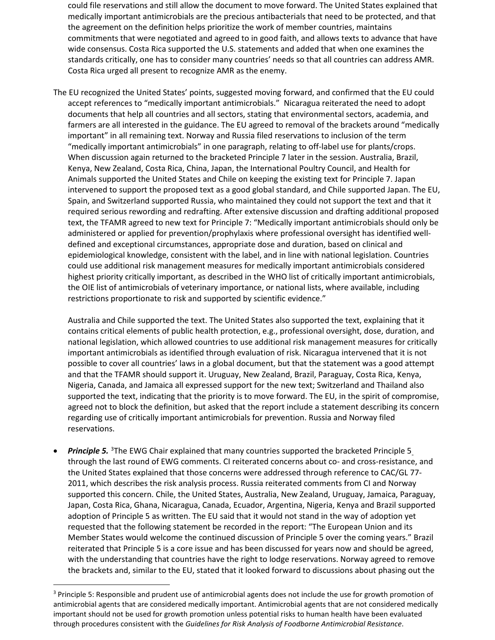could file reservations and still allow the document to move forward. The United States explained that medically important antimicrobials are the precious antibacterials that need to be protected, and that the agreement on the definition helps prioritize the work of member countries, maintains commitments that were negotiated and agreed to in good faith, and allows texts to advance that have wide consensus. Costa Rica supported the U.S. statements and added that when one examines the standards critically, one has to consider many countries' needs so that all countries can address AMR. Costa Rica urged all present to recognize AMR as the enemy.

The EU recognized the United States' points, suggested moving forward, and confirmed that the EU could accept references to "medically important antimicrobials." Nicaragua reiterated the need to adopt documents that help all countries and all sectors, stating that environmental sectors, academia, and farmers are all interested in the guidance. The EU agreed to removal of the brackets around "medically important" in all remaining text. Norway and Russia filed reservations to inclusion of the term "medically important antimicrobials" in one paragraph, relating to off-label use for plants/crops. When discussion again returned to the bracketed Principle 7 later in the session. Australia, Brazil, Kenya, New Zealand, Costa Rica, China, Japan, the International Poultry Council, and Health for Animals supported the United States and Chile on keeping the existing text for Principle 7. Japan intervened to support the proposed text as a good global standard, and Chile supported Japan. The EU, Spain, and Switzerland supported Russia, who maintained they could not support the text and that it required serious rewording and redrafting. After extensive discussion and drafting additional proposed text, the TFAMR agreed to new text for Principle 7: "Medically important antimicrobials should only be administered or applied for prevention/prophylaxis where professional oversight has identified welldefined and exceptional circumstances, appropriate dose and duration, based on clinical and epidemiological knowledge, consistent with the label, and in line with national legislation. Countries could use additional risk management measures for medically important antimicrobials considered highest priority critically important, as described in the WHO list of critically important antimicrobials, the OIE list of antimicrobials of veterinary importance, or national lists, where available, including restrictions proportionate to risk and supported by scientific evidence."

Australia and Chile supported the text. The United States also supported the text, explaining that it contains critical elements of public health protection, e.g., professional oversight, dose, duration, and national legislation, which allowed countries to use additional risk management measures for critically important antimicrobials as identified through evaluation of risk. Nicaragua intervened that it is not possible to cover all countries' laws in a global document, but that the statement was a good attempt and that the TFAMR should support it. Uruguay, New Zealand, Brazil, Paraguay, Costa Rica, Kenya, Nigeria, Canada, and Jamaica all expressed support for the new text; Switzerland and Thailand also supported the text, indicating that the priority is to move forward. The EU, in the spirit of compromise, agreed not to block the definition, but asked that the report include a statement describing its concern regarding use of critically important antimicrobials for prevention. Russia and Norway filed reservations.

• Principle 5. <sup>[3](#page-5-0)</sup>The EWG Chair explained that many countries supported the bracketed Principle 5 through the last round of EWG comments. CI reiterated concerns about co- and cross-resistance, and the United States explained that those concerns were addressed through reference to CAC/GL 77- 2011, which describes the risk analysis process. Russia reiterated comments from CI and Norway supported this concern. Chile, the United States, Australia, New Zealand, Uruguay, Jamaica, Paraguay, Japan, Costa Rica, Ghana, Nicaragua, Canada, Ecuador, Argentina, Nigeria, Kenya and Brazil supported adoption of Principle 5 as written. The EU said that it would not stand in the way of adoption yet requested that the following statement be recorded in the report: "The European Union and its Member States would welcome the continued discussion of Principle 5 over the coming years." Brazil reiterated that Principle 5 is a core issue and has been discussed for years now and should be agreed, with the understanding that countries have the right to lodge reservations. Norway agreed to remove the brackets and, similar to the EU, stated that it looked forward to discussions about phasing out the

<span id="page-5-0"></span><sup>&</sup>lt;sup>3</sup> Principle 5: Responsible and prudent use of antimicrobial agents does not include the use for growth promotion of antimicrobial agents that are considered medically important. Antimicrobial agents that are not considered medically important should not be used for growth promotion unless potential risks to human health have been evaluated through procedures consistent with the *Guidelines for Risk Analysis of Foodborne Antimicrobial Resistance*.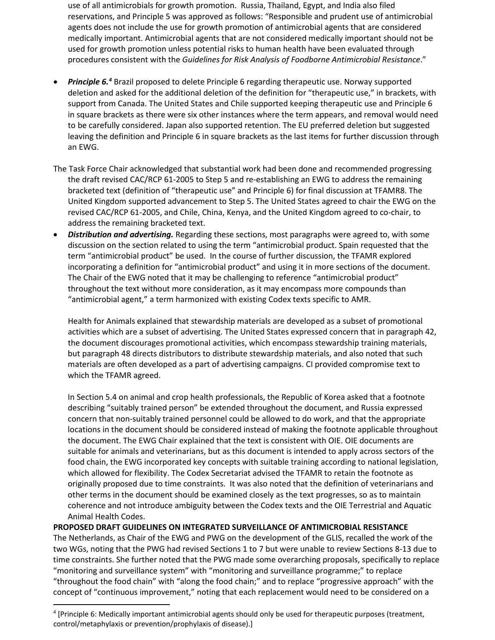use of all antimicrobials for growth promotion. Russia, Thailand, Egypt, and India also filed reservations, and Principle 5 was approved as follows: "Responsible and prudent use of antimicrobial agents does not include the use for growth promotion of antimicrobial agents that are considered medically important. Antimicrobial agents that are not considered medically important should not be used for growth promotion unless potential risks to human health have been evaluated through procedures consistent with the *Guidelines for Risk Analysis of Foodborne Antimicrobial Resistance*."

- *Principle 6.[4](#page-6-0)* Brazil proposed to delete Principle 6 regarding therapeutic use. Norway supported deletion and asked for the additional deletion of the definition for "therapeutic use," in brackets, with support from Canada. The United States and Chile supported keeping therapeutic use and Principle 6 in square brackets as there were six other instances where the term appears, and removal would need to be carefully considered. Japan also supported retention. The EU preferred deletion but suggested leaving the definition and Principle 6 in square brackets as the last items for further discussion through an EWG.
- The Task Force Chair acknowledged that substantial work had been done and recommended progressing the draft revised CAC/RCP 61-2005 to Step 5 and re-establishing an EWG to address the remaining bracketed text (definition of "therapeutic use" and Principle 6) for final discussion at TFAMR8. The United Kingdom supported advancement to Step 5. The United States agreed to chair the EWG on the revised CAC/RCP 61-2005, and Chile, China, Kenya, and the United Kingdom agreed to co-chair, to address the remaining bracketed text.
- *Distribution and advertising.* Regarding these sections, most paragraphs were agreed to, with some discussion on the section related to using the term "antimicrobial product. Spain requested that the term "antimicrobial product" be used. In the course of further discussion, the TFAMR explored incorporating a definition for "antimicrobial product" and using it in more sections of the document. The Chair of the EWG noted that it may be challenging to reference "antimicrobial product" throughout the text without more consideration, as it may encompass more compounds than "antimicrobial agent," a term harmonized with existing Codex texts specific to AMR.

Health for Animals explained that stewardship materials are developed as a subset of promotional activities which are a subset of advertising. The United States expressed concern that in paragraph 42, the document discourages promotional activities, which encompass stewardship training materials, but paragraph 48 directs distributors to distribute stewardship materials, and also noted that such materials are often developed as a part of advertising campaigns. CI provided compromise text to which the TFAMR agreed.

In Section 5.4 on animal and crop health professionals, the Republic of Korea asked that a footnote describing "suitably trained person" be extended throughout the document, and Russia expressed concern that non-suitably trained personnel could be allowed to do work, and that the appropriate locations in the document should be considered instead of making the footnote applicable throughout the document. The EWG Chair explained that the text is consistent with OIE. OIE documents are suitable for animals and veterinarians, but as this document is intended to apply across sectors of the food chain, the EWG incorporated key concepts with suitable training according to national legislation, which allowed for flexibility. The Codex Secretariat advised the TFAMR to retain the footnote as originally proposed due to time constraints. It was also noted that the definition of veterinarians and other terms in the document should be examined closely as the text progresses, so as to maintain coherence and not introduce ambiguity between the Codex texts and the OIE Terrestrial and Aquatic Animal Health Codes.

# **PROPOSED DRAFT GUIDELINES ON INTEGRATED SURVEILLANCE OF ANTIMICROBIAL RESISTANCE**

The Netherlands, as Chair of the EWG and PWG on the development of the GLIS, recalled the work of the two WGs, noting that the PWG had revised Sections 1 to 7 but were unable to review Sections 8-13 due to time constraints. She further noted that the PWG made some overarching proposals, specifically to replace "monitoring and surveillance system" with "monitoring and surveillance programme;" to replace "throughout the food chain" with "along the food chain;" and to replace "progressive approach" with the concept of "continuous improvement," noting that each replacement would need to be considered on a

<span id="page-6-0"></span><sup>4</sup> [Principle 6: Medically important antimicrobial agents should only be used for therapeutic purposes (treatment, control/metaphylaxis or prevention/prophylaxis of disease).]